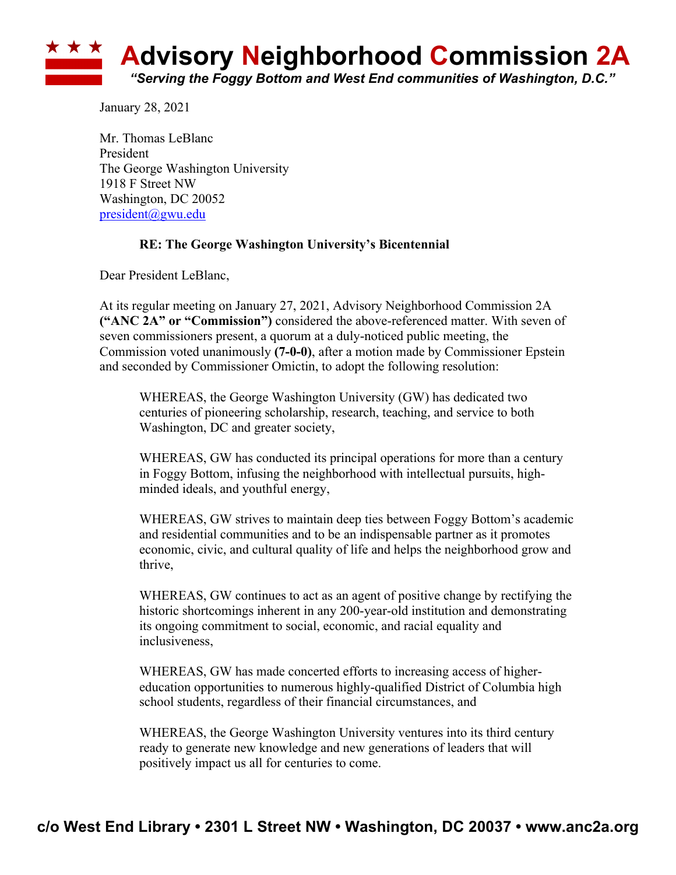

January 28, 2021

Mr. Thomas LeBlanc President The George Washington University 1918 F Street NW Washington, DC 20052 president@gwu.edu

## **RE: The George Washington University's Bicentennial**

Dear President LeBlanc,

At its regular meeting on January 27, 2021, Advisory Neighborhood Commission 2A **("ANC 2A" or "Commission")** considered the above-referenced matter. With seven of seven commissioners present, a quorum at a duly-noticed public meeting, the Commission voted unanimously **(7-0-0)**, after a motion made by Commissioner Epstein and seconded by Commissioner Omictin, to adopt the following resolution:

WHEREAS, the George Washington University (GW) has dedicated two centuries of pioneering scholarship, research, teaching, and service to both Washington, DC and greater society,

WHEREAS, GW has conducted its principal operations for more than a century in Foggy Bottom, infusing the neighborhood with intellectual pursuits, highminded ideals, and youthful energy,

WHEREAS, GW strives to maintain deep ties between Foggy Bottom's academic and residential communities and to be an indispensable partner as it promotes economic, civic, and cultural quality of life and helps the neighborhood grow and thrive,

WHEREAS, GW continues to act as an agent of positive change by rectifying the historic shortcomings inherent in any 200-year-old institution and demonstrating its ongoing commitment to social, economic, and racial equality and inclusiveness,

WHEREAS, GW has made concerted efforts to increasing access of highereducation opportunities to numerous highly-qualified District of Columbia high school students, regardless of their financial circumstances, and

WHEREAS, the George Washington University ventures into its third century ready to generate new knowledge and new generations of leaders that will positively impact us all for centuries to come.